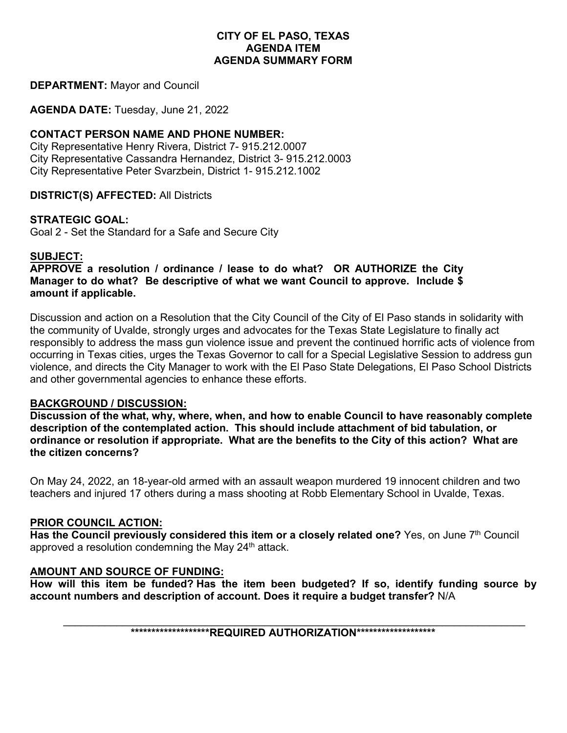## **CITY OF EL PASO, TEXAS AGENDA ITEM AGENDA SUMMARY FORM**

### **DEPARTMENT:** Mayor and Council

**AGENDA DATE:** Tuesday, June 21, 2022

## **CONTACT PERSON NAME AND PHONE NUMBER:**

City Representative Henry Rivera, District 7- 915.212.0007 City Representative Cassandra Hernandez, District 3- 915.212.0003 City Representative Peter Svarzbein, District 1- 915.212.1002

**DISTRICT(S) AFFECTED:** All Districts

## **STRATEGIC GOAL:**

Goal 2 - Set the Standard for a Safe and Secure City

## **SUBJECT:**

**APPROVE a resolution / ordinance / lease to do what? OR AUTHORIZE the City Manager to do what? Be descriptive of what we want Council to approve. Include \$ amount if applicable.**

Discussion and action on a Resolution that the City Council of the City of El Paso stands in solidarity with the community of Uvalde, strongly urges and advocates for the Texas State Legislature to finally act responsibly to address the mass gun violence issue and prevent the continued horrific acts of violence from occurring in Texas cities, urges the Texas Governor to call for a Special Legislative Session to address gun violence, and directs the City Manager to work with the El Paso State Delegations, El Paso School Districts and other governmental agencies to enhance these efforts.

#### **BACKGROUND / DISCUSSION:**

**Discussion of the what, why, where, when, and how to enable Council to have reasonably complete description of the contemplated action. This should include attachment of bid tabulation, or ordinance or resolution if appropriate. What are the benefits to the City of this action? What are the citizen concerns?**

On May 24, 2022, an 18-year-old armed with an assault weapon murdered 19 innocent children and two teachers and injured 17 others during a mass shooting at Robb Elementary School in Uvalde, Texas.

## **PRIOR COUNCIL ACTION:**

**Has the Council previously considered this item or a closely related one?** Yes, on June 7th Council approved a resolution condemning the May 24<sup>th</sup> attack.

## **AMOUNT AND SOURCE OF FUNDING:**

**How will this item be funded? Has the item been budgeted? If so, identify funding source by account numbers and description of account. Does it require a budget transfer?** N/A

\_\_\_\_\_\_\_\_\_\_\_\_\_\_\_\_\_\_\_\_\_\_\_\_\_\_\_\_\_\_\_\_\_\_\_\_\_\_\_\_\_\_\_\_\_\_\_\_\_\_\_\_\_\_\_\_\_\_\_\_\_\_\_\_\_\_\_\_\_\_\_\_\_\_\_\_\_\_ **\*\*\*\*\*\*\*\*\*\*\*\*\*\*\*\*\*\*\*REQUIRED AUTHORIZATION\*\*\*\*\*\*\*\*\*\*\*\*\*\*\*\*\*\*\***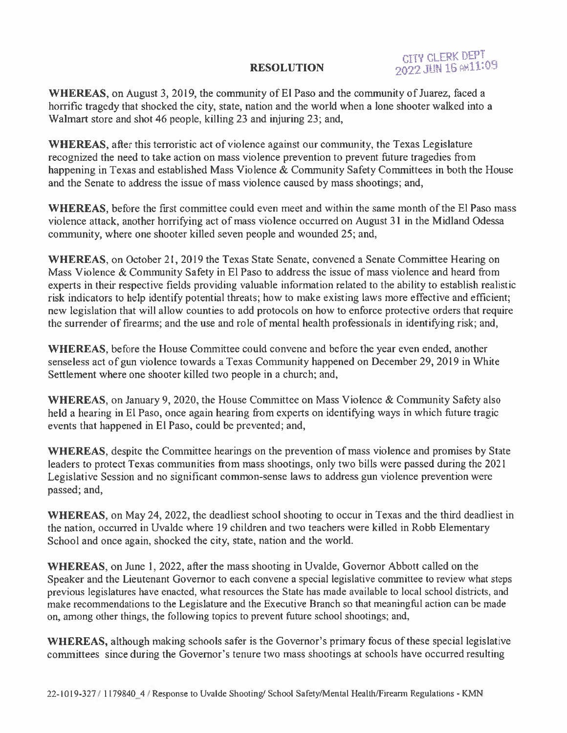## **RESOLUTION**

**CITY CLERK DEPT** 2022 JUN 16 AM11:09

WHEREAS, on August 3, 2019, the community of El Paso and the community of Juarez, faced a horrific tragedy that shocked the city, state, nation and the world when a lone shooter walked into a Walmart store and shot 46 people, killing 23 and injuring 23; and,

**WHEREAS, after this terroristic act of violence against our community, the Texas Legislature** recognized the need to take action on mass violence prevention to prevent future tragedies from happening in Texas and established Mass Violence & Community Safety Committees in both the House and the Senate to address the issue of mass violence caused by mass shootings; and,

WHEREAS, before the first committee could even meet and within the same month of the El Paso mass violence attack, another horrifying act of mass violence occurred on August 31 in the Midland Odessa community, where one shooter killed seven people and wounded 25; and,

WHEREAS, on October 21, 2019 the Texas State Senate, convened a Senate Committee Hearing on Mass Violence & Community Safety in El Paso to address the issue of mass violence and heard from experts in their respective fields providing valuable information related to the ability to establish realistic risk indicators to help identify potential threats; how to make existing laws more effective and efficient; new legislation that will allow counties to add protocols on how to enforce protective orders that require the surrender of firearms; and the use and role of mental health professionals in identifying risk; and,

WHEREAS, before the House Committee could convene and before the year even ended, another senseless act of gun violence towards a Texas Community happened on December 29, 2019 in White Settlement where one shooter killed two people in a church; and,

**WHEREAS**, on January 9, 2020, the House Committee on Mass Violence & Community Safety also held a hearing in El Paso, once again hearing from experts on identifying ways in which future tragic events that happened in El Paso, could be prevented; and,

**WHEREAS**, despite the Committee hearings on the prevention of mass violence and promises by State leaders to protect Texas communities from mass shootings, only two bills were passed during the 2021 Legislative Session and no significant common-sense laws to address gun violence prevention were passed; and,

WHEREAS, on May 24, 2022, the deadliest school shooting to occur in Texas and the third deadliest in the nation, occurred in Uvalde where 19 children and two teachers were killed in Robb Elementary School and once again, shocked the city, state, nation and the world.

WHEREAS, on June 1, 2022, after the mass shooting in Uvalde, Governor Abbott called on the Speaker and the Lieutenant Governor to each convene a special legislative committee to review what steps previous legislatures have enacted, what resources the State has made available to local school districts, and make recommendations to the Legislature and the Executive Branch so that meaningful action can be made on, among other things, the following topics to prevent future school shootings; and,

WHEREAS, although making schools safer is the Governor's primary focus of these special legislative committees since during the Governor's tenure two mass shootings at schools have occurred resulting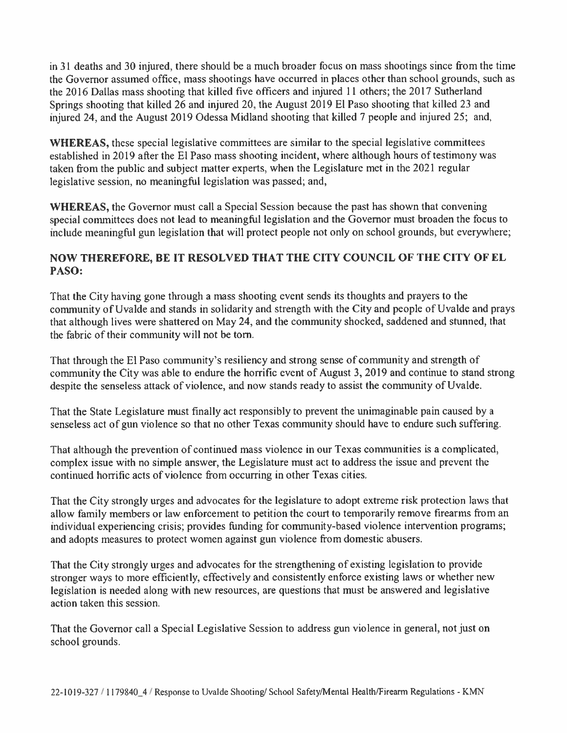in 31 deaths and 30 injured, there should be a much broader focus on mass shootings since from the time the Governor assumed office, mass shootings have occurred in places other than school grounds, such as the 2016 Dallas mass shooting that killed five officers and injured 11 others; the 2017 Sutherland Springs shooting that killed 26 and injured 20, the August 2019 El Paso shooting that killed 23 and injured 24, and the August 2019 Odessa Midland shooting that killed 7 people and injured 25; and,

WHEREAS, these special legislative committees are similar to the special legislative committees established in 2019 after the El Paso mass shooting incident, where although hours of testimony was taken from the public and subject matter experts, when the Legislature met in the 2021 regular legislative session, no meaningful legislation was passed; and,

**WHEREAS, the Governor must call a Special Session because the past has shown that convening** special committees does not lead to meaningful legislation and the Governor must broaden the focus to include meaningful gun legislation that will protect people not only on school grounds, but everywhere;

# NOW THEREFORE, BE IT RESOLVED THAT THE CITY COUNCIL OF THE CITY OF EL PASO:

That the City having gone through a mass shooting event sends its thoughts and prayers to the community of Uvalde and stands in solidarity and strength with the City and people of Uvalde and prays that although lives were shattered on May 24, and the community shocked, saddened and stunned, that the fabric of their community will not be torn.

That through the El Paso community's resiliency and strong sense of community and strength of community the City was able to endure the horrific event of August 3, 2019 and continue to stand strong despite the senseless attack of violence, and now stands ready to assist the community of Uvalde.

That the State Legislature must finally act responsibly to prevent the unimaginable pain caused by a senseless act of gun violence so that no other Texas community should have to endure such suffering.

That although the prevention of continued mass violence in our Texas communities is a complicated, complex issue with no simple answer, the Legislature must act to address the issue and prevent the continued horrific acts of violence from occurring in other Texas cities.

That the City strongly urges and advocates for the legislature to adopt extreme risk protection laws that allow family members or law enforcement to petition the court to temporarily remove firearms from an individual experiencing crisis; provides funding for community-based violence intervention programs; and adopts measures to protect women against gun violence from domestic abusers.

That the City strongly urges and advocates for the strengthening of existing legislation to provide stronger ways to more efficiently, effectively and consistently enforce existing laws or whether new legislation is needed along with new resources, are questions that must be answered and legislative action taken this session.

That the Governor call a Special Legislative Session to address gun violence in general, not just on school grounds.